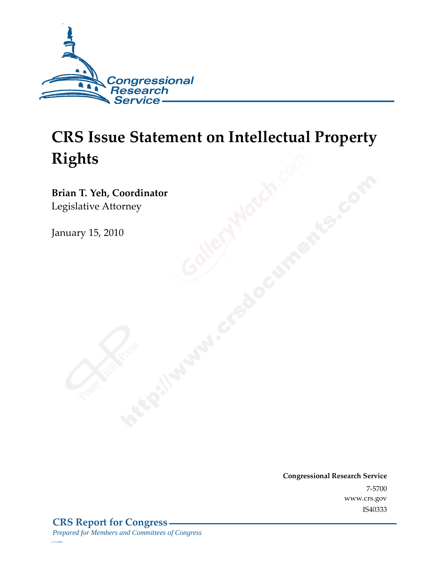

# **CRS Issue Statement on Intellectual Property Rights**

**Brian T. Yeh, Coordinator**  Legislative Attorney

January 15, 2010

**Congressional Research Service** 7-5700 www.crs.gov IS40333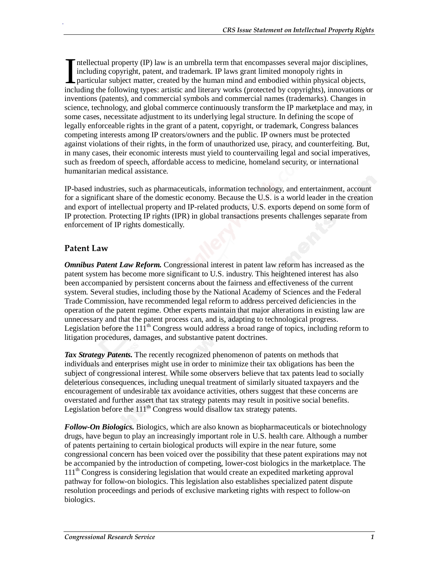ntellectual property (IP) law is an umbrella term that encompasses several major disciplines, including copyright, patent, and trademark. IP laws grant limited monopoly rights in particular subject matter, created by the human mind and embodied within physical objects, Intellectual property (IP) law is an umbrella term that encompasses several major disciplines, including copyright, patent, and trademark. IP laws grant limited monopoly rights in particular subject matter, created by the inventions (patents), and commercial symbols and commercial names (trademarks). Changes in science, technology, and global commerce continuously transform the IP marketplace and may, in some cases, necessitate adjustment to its underlying legal structure. In defining the scope of legally enforceable rights in the grant of a patent, copyright, or trademark, Congress balances competing interests among IP creators/owners and the public. IP owners must be protected against violations of their rights, in the form of unauthorized use, piracy, and counterfeiting. But, in many cases, their economic interests must yield to countervailing legal and social imperatives, such as freedom of speech, affordable access to medicine, homeland security, or international humanitarian medical assistance.

IP-based industries, such as pharmaceuticals, information technology, and entertainment, account for a significant share of the domestic economy. Because the U.S. is a world leader in the creation and export of intellectual property and IP-related products, U.S. exports depend on some form of IP protection. Protecting IP rights (IPR) in global transactions presents challenges separate from enforcement of IP rights domestically.

#### **Patent Law**

.

*Omnibus Patent Law Reform.* Congressional interest in patent law reform has increased as the patent system has become more significant to U.S. industry. This heightened interest has also been accompanied by persistent concerns about the fairness and effectiveness of the current system. Several studies, including those by the National Academy of Sciences and the Federal Trade Commission, have recommended legal reform to address perceived deficiencies in the operation of the patent regime. Other experts maintain that major alterations in existing law are unnecessary and that the patent process can, and is, adapting to technological progress. Legislation before the  $111<sup>th</sup>$  Congress would address a broad range of topics, including reform to litigation procedures, damages, and substantive patent doctrines.

*Tax Strategy Patents.* The recently recognized phenomenon of patents on methods that individuals and enterprises might use in order to minimize their tax obligations has been the subject of congressional interest. While some observers believe that tax patents lead to socially deleterious consequences, including unequal treatment of similarly situated taxpayers and the encouragement of undesirable tax avoidance activities, others suggest that these concerns are overstated and further assert that tax strategy patents may result in positive social benefits. Legislation before the  $111<sup>th</sup>$  Congress would disallow tax strategy patents.

*Follow-On Biologics.* Biologics, which are also known as biopharmaceuticals or biotechnology drugs, have begun to play an increasingly important role in U.S. health care. Although a number of patents pertaining to certain biological products will expire in the near future, some congressional concern has been voiced over the possibility that these patent expirations may not be accompanied by the introduction of competing, lower-cost biologics in the marketplace. The  $111<sup>th</sup>$  Congress is considering legislation that would create an expedited marketing approval pathway for follow-on biologics. This legislation also establishes specialized patent dispute resolution proceedings and periods of exclusive marketing rights with respect to follow-on biologics.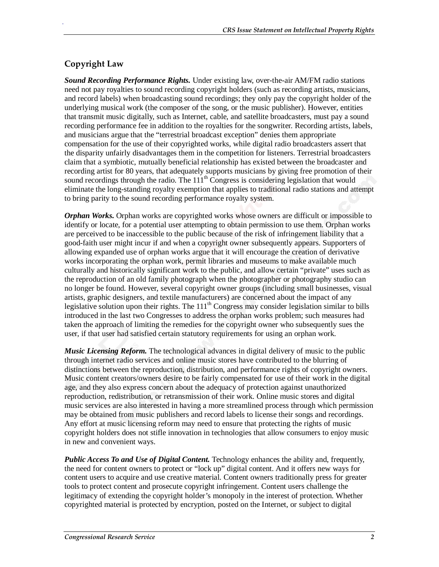## **Copyright Law**

.

*Sound Recording Performance Rights.* Under existing law, over-the-air AM/FM radio stations need not pay royalties to sound recording copyright holders (such as recording artists, musicians, and record labels) when broadcasting sound recordings; they only pay the copyright holder of the underlying musical work (the composer of the song, or the music publisher). However, entities that transmit music digitally, such as Internet, cable, and satellite broadcasters, must pay a sound recording performance fee in addition to the royalties for the songwriter. Recording artists, labels, and musicians argue that the "terrestrial broadcast exception" denies them appropriate compensation for the use of their copyrighted works, while digital radio broadcasters assert that the disparity unfairly disadvantages them in the competition for listeners. Terrestrial broadcasters claim that a symbiotic, mutually beneficial relationship has existed between the broadcaster and recording artist for 80 years, that adequately supports musicians by giving free promotion of their sound recordings through the radio. The 111<sup>th</sup> Congress is considering legislation that would eliminate the long-standing royalty exemption that applies to traditional radio stations and attempt to bring parity to the sound recording performance royalty system.

*Orphan Works.* Orphan works are copyrighted works whose owners are difficult or impossible to identify or locate, for a potential user attempting to obtain permission to use them. Orphan works are perceived to be inaccessible to the public because of the risk of infringement liability that a good-faith user might incur if and when a copyright owner subsequently appears. Supporters of allowing expanded use of orphan works argue that it will encourage the creation of derivative works incorporating the orphan work, permit libraries and museums to make available much culturally and historically significant work to the public, and allow certain "private" uses such as the reproduction of an old family photograph when the photographer or photography studio can no longer be found. However, several copyright owner groups (including small businesses, visual artists, graphic designers, and textile manufacturers) are concerned about the impact of any legislative solution upon their rights. The 111<sup>th</sup> Congress may consider legislation similar to bills introduced in the last two Congresses to address the orphan works problem; such measures had taken the approach of limiting the remedies for the copyright owner who subsequently sues the user, if that user had satisfied certain statutory requirements for using an orphan work.

*Music Licensing Reform.* The technological advances in digital delivery of music to the public through internet radio services and online music stores have contributed to the blurring of distinctions between the reproduction, distribution, and performance rights of copyright owners. Music content creators/owners desire to be fairly compensated for use of their work in the digital age, and they also express concern about the adequacy of protection against unauthorized reproduction, redistribution, or retransmission of their work. Online music stores and digital music services are also interested in having a more streamlined process through which permission may be obtained from music publishers and record labels to license their songs and recordings. Any effort at music licensing reform may need to ensure that protecting the rights of music copyright holders does not stifle innovation in technologies that allow consumers to enjoy music in new and convenient ways.

*Public Access To and Use of Digital Content.* Technology enhances the ability and, frequently, the need for content owners to protect or "lock up" digital content. And it offers new ways for content users to acquire and use creative material. Content owners traditionally press for greater tools to protect content and prosecute copyright infringement. Content users challenge the legitimacy of extending the copyright holder's monopoly in the interest of protection. Whether copyrighted material is protected by encryption, posted on the Internet, or subject to digital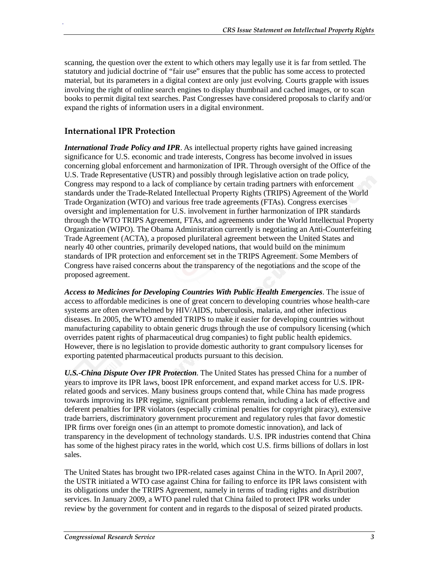scanning, the question over the extent to which others may legally use it is far from settled. The statutory and judicial doctrine of "fair use" ensures that the public has some access to protected material, but its parameters in a digital context are only just evolving. Courts grapple with issues involving the right of online search engines to display thumbnail and cached images, or to scan books to permit digital text searches. Past Congresses have considered proposals to clarify and/or expand the rights of information users in a digital environment.

## **International IPR Protection**

.

*International Trade Policy and IPR*. As intellectual property rights have gained increasing significance for U.S. economic and trade interests, Congress has become involved in issues concerning global enforcement and harmonization of IPR. Through oversight of the Office of the U.S. Trade Representative (USTR) and possibly through legislative action on trade policy, Congress may respond to a lack of compliance by certain trading partners with enforcement standards under the Trade-Related Intellectual Property Rights (TRIPS) Agreement of the World Trade Organization (WTO) and various free trade agreements (FTAs). Congress exercises oversight and implementation for U.S. involvement in further harmonization of IPR standards through the WTO TRIPS Agreement, FTAs, and agreements under the World Intellectual Property Organization (WIPO). The Obama Administration currently is negotiating an Anti-Counterfeiting Trade Agreement (ACTA), a proposed plurilateral agreement between the United States and nearly 40 other countries, primarily developed nations, that would build on the minimum standards of IPR protection and enforcement set in the TRIPS Agreement. Some Members of Congress have raised concerns about the transparency of the negotiations and the scope of the proposed agreement.

*Access to Medicines for Developing Countries With Public Health Emergencies*. The issue of access to affordable medicines is one of great concern to developing countries whose health-care systems are often overwhelmed by HIV/AIDS, tuberculosis, malaria, and other infectious diseases. In 2005, the WTO amended TRIPS to make it easier for developing countries without manufacturing capability to obtain generic drugs through the use of compulsory licensing (which overrides patent rights of pharmaceutical drug companies) to fight public health epidemics. However, there is no legislation to provide domestic authority to grant compulsory licenses for exporting patented pharmaceutical products pursuant to this decision.

*U.S.-China Dispute Over IPR Protection*. The United States has pressed China for a number of years to improve its IPR laws, boost IPR enforcement, and expand market access for U.S. IPRrelated goods and services. Many business groups contend that, while China has made progress towards improving its IPR regime, significant problems remain, including a lack of effective and deferent penalties for IPR violators (especially criminal penalties for copyright piracy), extensive trade barriers, discriminatory government procurement and regulatory rules that favor domestic IPR firms over foreign ones (in an attempt to promote domestic innovation), and lack of transparency in the development of technology standards. U.S. IPR industries contend that China has some of the highest piracy rates in the world, which cost U.S. firms billions of dollars in lost sales.

The United States has brought two IPR-related cases against China in the WTO. In April 2007, the USTR initiated a WTO case against China for failing to enforce its IPR laws consistent with its obligations under the TRIPS Agreement, namely in terms of trading rights and distribution services. In January 2009, a WTO panel ruled that China failed to protect IPR works under review by the government for content and in regards to the disposal of seized pirated products.